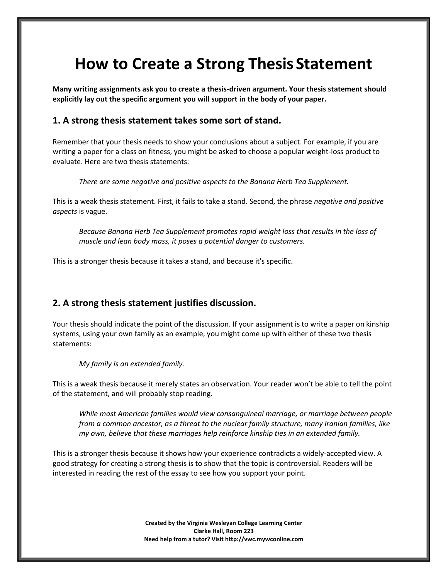# **How to Create a Strong ThesisStatement**

**Many writing assignments ask you to create a thesis-driven argument. Your thesis statement should explicitly lay out the specific argument you will support in the body of your paper.**

#### **1. A strong thesis statement takes some sort of stand.**

Remember that your thesis needs to show your conclusions about a subject. For example, if you are writing a paper for a class on fitness, you might be asked to choose a popular weight-loss product to evaluate. Here are two thesis statements:

*There are some negative and positive aspects to the Banana Herb Tea Supplement.*

This is a weak thesis statement. First, it fails to take a stand. Second, the phrase *negative and positive aspects* is vague.

*Because Banana Herb Tea Supplement promotes rapid weight loss that results in the loss of muscle and lean body mass, it poses a potential danger to customers.*

This is a stronger thesis because it takes a stand, and because it's specific.

#### **2. A strong thesis statement justifies discussion.**

Your thesis should indicate the point of the discussion. If your assignment is to write a paper on kinship systems, using your own family as an example, you might come up with either of these two thesis statements:

*My family is an extended family.*

This is a weak thesis because it merely states an observation. Your reader won't be able to tell the point of the statement, and will probably stop reading.

*While most American families would view consanguineal marriage, or marriage between people from a common ancestor, as a threat to the nuclear family structure, many Iranian families, like my own, believe that these marriages help reinforce kinship ties in an extended family.*

This is a stronger thesis because it shows how your experience contradicts a widely-accepted view. A good strategy for creating a strong thesis is to show that the topic is controversial. Readers will be interested in reading the rest of the essay to see how you support your point.

> **Created by the Virginia Wesleyan College Learning Center Clarke Hall, Room 223 Need help from a tutor? Visit http://vwc.mywconline.com**